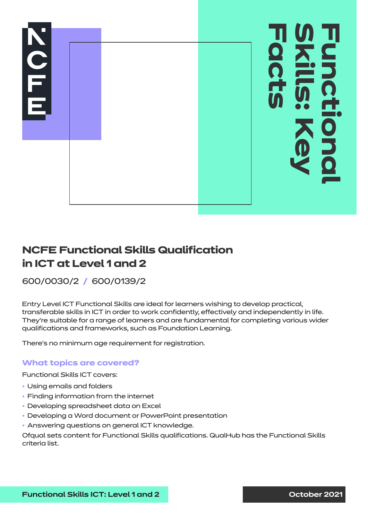

# **NCFE Functional Skills Qualification in ICT at Level 1 and 2**

## 600/0030/2 **/** 600/0139/2

Entry Level ICT Functional Skills are ideal for learners wishing to develop practical, transferable skills in ICT in order to work confidently, effectively and independently in life. They're suitable for a range of learners and are fundamental for completing various wider qualifications and frameworks, such as Foundation Learning.

There's no minimum age requirement for registration.

#### **What topics are covered?**

Functional Skills ICT covers:

- Using emails and folders
- Finding information from the internet
- Developing spreadsheet data on Excel
- Developing a Word document or PowerPoint presentation
- Answering questions on general ICT knowledge.

Ofqual sets content for Functional Skills qualifications. QualHub has the Functional Skills criteria list.